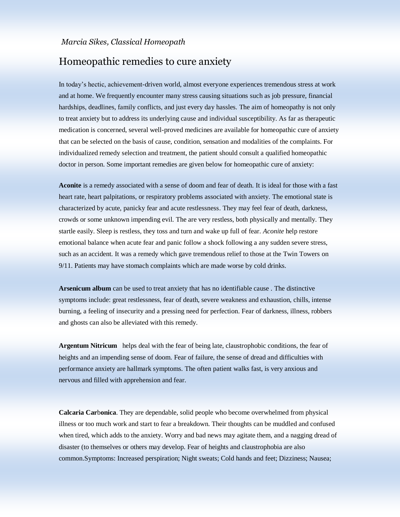## Homeopathic remedies to cure anxiety

In today's hectic, achievement-driven world, almost everyone experiences tremendous stress at work and at home. We frequently encounter many stress causing situations such as job pressure, financial hardships, deadlines, family conflicts, and just every day hassles. The aim of homeopathy is not only to treat anxiety but to address its underlying cause and individual susceptibility. As far as therapeutic medication is concerned, several well-proved medicines are available for homeopathic cure of anxiety that can be selected on the basis of cause, condition, sensation and modalities of the complaints. For individualized remedy selection and treatment, the patient should consult a qualified homeopathic doctor in person. Some important remedies are given below for homeopathic cure of anxiety:

**Aconite** is a remedy associated with a sense of doom and fear of death. It is ideal for those with a fast heart rate, heart palpitations, or respiratory problems associated with anxiety. The emotional state is characterized by acute, panicky fear and acute restlessness. They may feel fear of death, darkness, crowds or some unknown impending evil. The are very restless, both physically and mentally. They startle easily. Sleep is restless, they toss and turn and wake up full of fear. *Aconite* help restore emotional balance when acute fear and panic follow a shock following a any sudden severe stress, such as an accident. It was a remedy which gave tremendous relief to those at the Twin Towers on 9/11. Patients may have stomach complaints which are made worse by cold drinks.

**Arsenicum album** can be used to treat anxiety that has no identifiable cause . The distinctive symptoms include: great restlessness, fear of death, severe weakness and exhaustion, chills, intense burning, a feeling of insecurity and a pressing need for perfection. Fear of darkness, illness, robbers and ghosts can also be alleviated with this remedy.

**Argentum Nitricum** helps deal with the fear of being late, claustrophobic conditions, the fear of heights and an impending sense of doom. Fear of failure, the sense of dread and difficulties with performance anxiety are hallmark symptoms. The often patient walks fast, is very anxious and nervous and filled with apprehension and fear.

**Calcaria Car**b**onica**. They are dependable, solid people who become overwhelmed from physical illness or too much work and start to fear a breakdown. Their thoughts can be muddled and confused when tired, which adds to the anxiety. Worry and bad news may agitate them, and a nagging dread of disaster (to themselves or others may develop. Fear of heights and claustrophobia are also common.Symptoms: Increased perspiration; Night sweats; Cold hands and feet; Dizziness; Nausea;